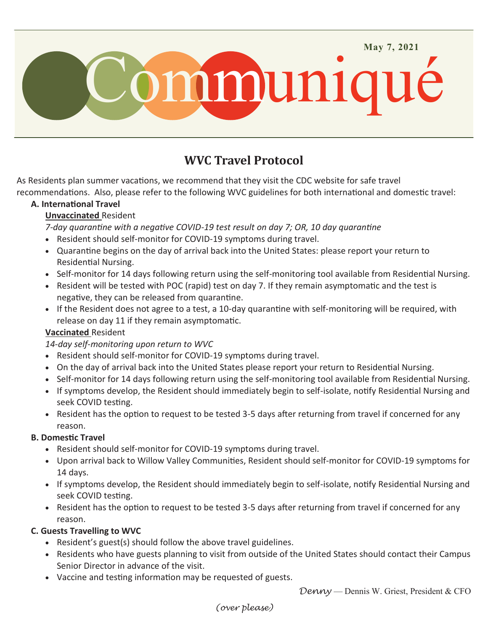

# **WVC Travel Protocol**

As Residents plan summer vacations, we recommend that they visit the CDC website for safe travel recommendations. Also, please refer to the following WVC guidelines for both international and domestic travel:

## **A. International Travel**

## **Unvaccinated** Resident

*7-day quarantine with a negative COVID-19 test result on day 7; OR, 10 day quarantine*

- Resident should self-monitor for COVID-19 symptoms during travel.
- Quarantine begins on the day of arrival back into the United States: please report your return to Residential Nursing.
- Self-monitor for 14 days following return using the self-monitoring tool available from Residential Nursing.
- Resident will be tested with POC (rapid) test on day 7. If they remain asymptomatic and the test is negative, they can be released from quarantine.
- If the Resident does not agree to a test, a 10-day quarantine with self-monitoring will be required, with release on day 11 if they remain asymptomatic.

## **Vaccinated** Resident

*14-day self-monitoring upon return to WVC*

- Resident should self-monitor for COVID-19 symptoms during travel.
- On the day of arrival back into the United States please report your return to Residential Nursing.
- Self-monitor for 14 days following return using the self-monitoring tool available from Residential Nursing.
- If symptoms develop, the Resident should immediately begin to self-isolate, notify Residential Nursing and seek COVID testing.
- Resident has the option to request to be tested 3-5 days after returning from travel if concerned for any reason.

## **B. Domestic Travel**

- Resident should self-monitor for COVID-19 symptoms during travel.
- Upon arrival back to Willow Valley Communities, Resident should self-monitor for COVID-19 symptoms for 14 days.
- If symptoms develop, the Resident should immediately begin to self-isolate, notify Residential Nursing and seek COVID testing.
- Resident has the option to request to be tested 3-5 days after returning from travel if concerned for any reason.

## **C. Guests Travelling to WVC**

- Resident's guest(s) should follow the above travel guidelines.
- Residents who have guests planning to visit from outside of the United States should contact their Campus Senior Director in advance of the visit.
- Vaccine and testing information may be requested of guests.